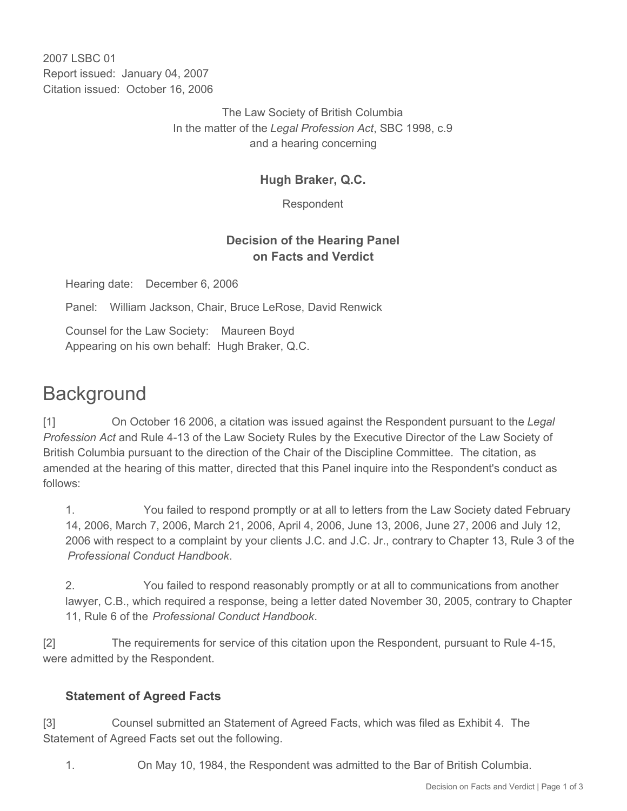2007 LSBC 01 Report issued: January 04, 2007 Citation issued: October 16, 2006

> The Law Society of British Columbia In the matter of the *Legal Profession Act*, SBC 1998, c.9 and a hearing concerning

## **Hugh Braker, Q.C.**

Respondent

## **Decision of the Hearing Panel on Facts and Verdict**

Hearing date: December 6, 2006

Panel: William Jackson, Chair, Bruce LeRose, David Renwick

Counsel for the Law Society: Maureen Boyd Appearing on his own behalf: Hugh Braker, Q.C.

## **Background**

[1] On October 16 2006, a citation was issued against the Respondent pursuant to the *Legal Profession Act* and Rule 4-13 of the Law Society Rules by the Executive Director of the Law Society of British Columbia pursuant to the direction of the Chair of the Discipline Committee. The citation, as amended at the hearing of this matter, directed that this Panel inquire into the Respondent's conduct as follows:

1. You failed to respond promptly or at all to letters from the Law Society dated February 14, 2006, March 7, 2006, March 21, 2006, April 4, 2006, June 13, 2006, June 27, 2006 and July 12, 2006 with respect to a complaint by your clients J.C. and J.C. Jr., contrary to Chapter 13, Rule 3 of the *Professional Conduct Handbook*.

2. You failed to respond reasonably promptly or at all to communications from another lawyer, C.B., which required a response, being a letter dated November 30, 2005, contrary to Chapter 11, Rule 6 of the *Professional Conduct Handbook*.

[2] The requirements for service of this citation upon the Respondent, pursuant to Rule 4-15, were admitted by the Respondent.

## **Statement of Agreed Facts**

[3] Counsel submitted an Statement of Agreed Facts, which was filed as Exhibit 4. The Statement of Agreed Facts set out the following.

1. On May 10, 1984, the Respondent was admitted to the Bar of British Columbia.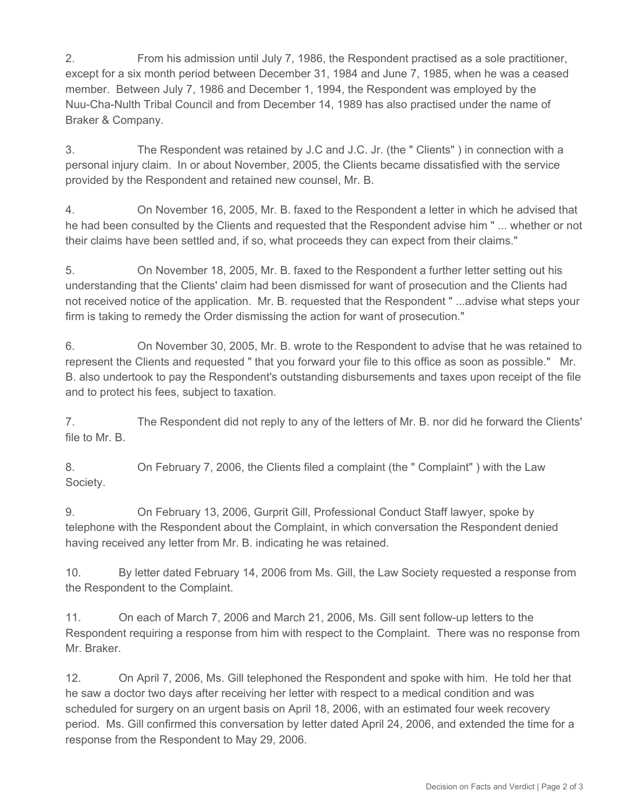2. From his admission until July 7, 1986, the Respondent practised as a sole practitioner, except for a six month period between December 31, 1984 and June 7, 1985, when he was a ceased member. Between July 7, 1986 and December 1, 1994, the Respondent was employed by the Nuu-Cha-Nulth Tribal Council and from December 14, 1989 has also practised under the name of Braker & Company.

3. The Respondent was retained by J.C and J.C. Jr. (the " Clients" ) in connection with a personal injury claim. In or about November, 2005, the Clients became dissatisfied with the service provided by the Respondent and retained new counsel, Mr. B.

4. On November 16, 2005, Mr. B. faxed to the Respondent a letter in which he advised that he had been consulted by the Clients and requested that the Respondent advise him " ... whether or not their claims have been settled and, if so, what proceeds they can expect from their claims."

5. On November 18, 2005, Mr. B. faxed to the Respondent a further letter setting out his understanding that the Clients' claim had been dismissed for want of prosecution and the Clients had not received notice of the application. Mr. B. requested that the Respondent " ...advise what steps your firm is taking to remedy the Order dismissing the action for want of prosecution."

6. On November 30, 2005, Mr. B. wrote to the Respondent to advise that he was retained to represent the Clients and requested " that you forward your file to this office as soon as possible." Mr. B. also undertook to pay the Respondent's outstanding disbursements and taxes upon receipt of the file and to protect his fees, subject to taxation.

7. The Respondent did not reply to any of the letters of Mr. B. nor did he forward the Clients' file to Mr. B.

8. On February 7, 2006, the Clients filed a complaint (the " Complaint" ) with the Law Society.

9. On February 13, 2006, Gurprit Gill, Professional Conduct Staff lawyer, spoke by telephone with the Respondent about the Complaint, in which conversation the Respondent denied having received any letter from Mr. B. indicating he was retained.

10. By letter dated February 14, 2006 from Ms. Gill, the Law Society requested a response from the Respondent to the Complaint.

11. On each of March 7, 2006 and March 21, 2006, Ms. Gill sent follow-up letters to the Respondent requiring a response from him with respect to the Complaint. There was no response from Mr. Braker.

12. On April 7, 2006, Ms. Gill telephoned the Respondent and spoke with him. He told her that he saw a doctor two days after receiving her letter with respect to a medical condition and was scheduled for surgery on an urgent basis on April 18, 2006, with an estimated four week recovery period. Ms. Gill confirmed this conversation by letter dated April 24, 2006, and extended the time for a response from the Respondent to May 29, 2006.